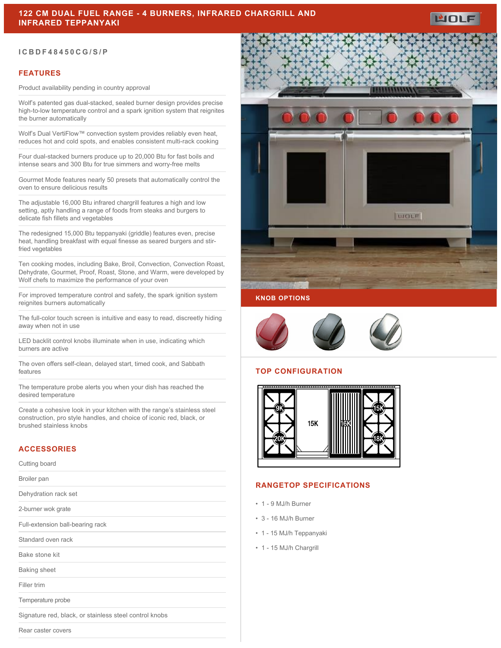### **ICBDF48450CG/S/P**

### **FEATURES**

Product availability pending in country approval

Wolf's patented gas dual-stacked, sealed burner design provides precise high-to-low temperature control and a spark ignition system that reignites the burner automatically

Wolf's Dual VertiFlow™ convection system provides reliably even heat, reduces hot and cold spots, and enables consistent multi-rack cooking

Four dual-stacked burners produce up to 20,000 Btu for fast boils and intense sears and 300 Btu for true simmers and worry-free melts

Gourmet Mode features nearly 50 presets that automatically control the oven to ensure delicious results

The adjustable 16,000 Btu infrared chargrill features a high and low setting, aptly handling a range of foods from steaks and burgers to delicate fish fillets and vegetables

The redesigned 15,000 Btu teppanyaki (griddle) features even, precise heat, handling breakfast with equal finesse as seared burgers and stirfried vegetables

Ten cooking modes, including Bake, Broil, Convection, Convection Roast, Dehydrate, Gourmet, Proof, Roast, Stone, and Warm, were developed by Wolf chefs to maximize the performance of your oven

For improved temperature control and safety, the spark ignition system reignites burners automatically

The full-color touch screen is intuitive and easy to read, discreetly hiding away when not in use

LED backlit control knobs illuminate when in use, indicating which burners are active

The oven offers self-clean, delayed start, timed cook, and Sabbath features

The temperature probe alerts you when your dish has reached the desired temperature

Create a cohesive look in your kitchen with the range's stainless steel construction, pro style handles, and choice of iconic red, black, or brushed stainless knobs

## **ACCESSORIES**

Cutting board

Broiler pan

Dehydration rack set

2-burner wok grate

Full-extension ball-bearing rack

Standard oven rack

Bake stone kit

Baking sheet

Filler trim

Temperature probe

Signature red, black, or stainless steel control knobs

Rear caster covers



WOLF

### **KNOB OPTIONS**



### **TOP CONFIGURATION**



# **RANGETOP SPECIFICATIONS**

- 1 9 MJ/h Burner
- 3 16 MJ/h Burner
- 1 15 MJ/h Teppanyaki
- 1 15 MJ/h Chargrill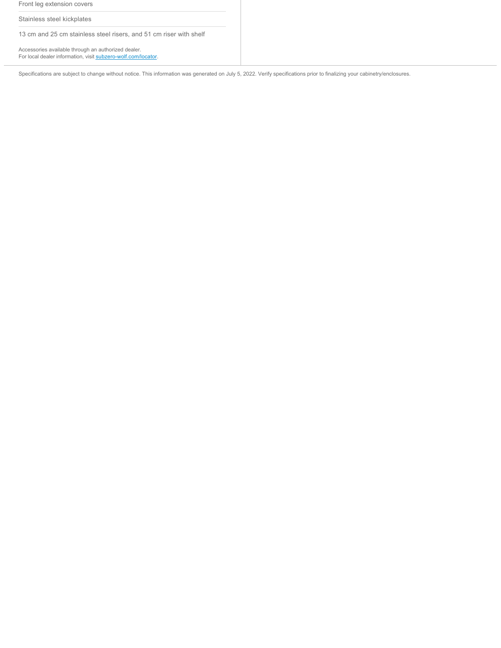|  | Front leg extension covers                                                                                           |
|--|----------------------------------------------------------------------------------------------------------------------|
|  | Stainless steel kickplates                                                                                           |
|  | 13 cm and 25 cm stainless steel risers, and 51 cm riser with shelf                                                   |
|  | Accessories available through an authorized dealer.<br>For local dealer information, visit subzero-wolf.com/locator. |

Specifications are subject to change without notice. This information was generated on July 5, 2022. Verify specifications prior to finalizing your cabinetry/enclosures.